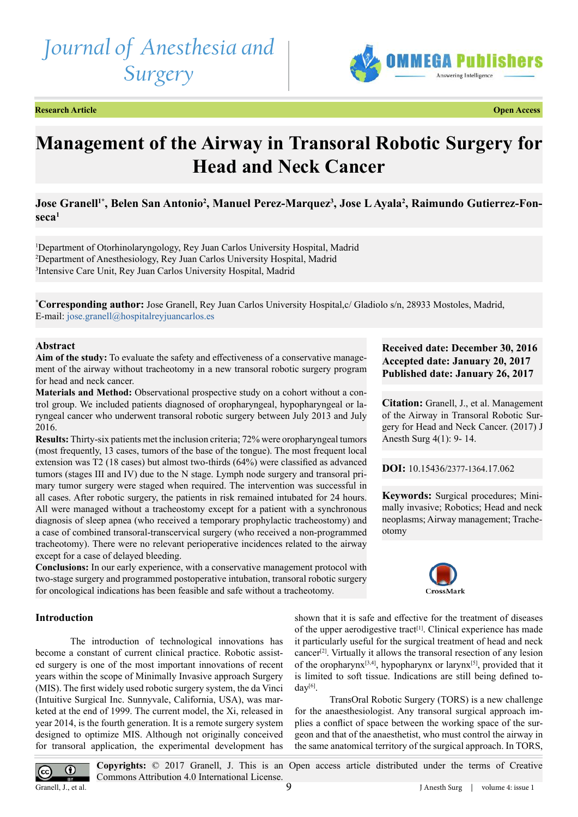# *Journal of Anesthesia and Surgery*



**Research Article Open Access**

## **Management of the Airway in Transoral Robotic Surgery for Head and Neck Cancer**

**Jose Granell1\*, Belen San Antonio2 , Manuel Perez-Marquez3 , Jose L Ayala2 , Raimundo Gutierrez-Fonseca1**

1 Department of Otorhinolaryngology, Rey Juan Carlos University Hospital, Madrid 2 Department of Anesthesiology, Rey Juan Carlos University Hospital, Madrid 3 Intensive Care Unit, Rey Juan Carlos University Hospital, Madrid

**\* Corresponding author:** Jose Granell, Rey Juan Carlos University Hospital,c/ Gladiolo s/n, 28933 Mostoles, Madrid, E-mail: [jose.granell@hospitalreyjuancarlos.es](mailto:jose.granell@hospitalreyjuancarlos.es)

#### **Abstract**

**Aim of the study:** To evaluate the safety and effectiveness of a conservative management of the airway without tracheotomy in a new transoral robotic surgery program for head and neck cancer.

**Materials and Method:** Observational prospective study on a cohort without a control group. We included patients diagnosed of oropharyngeal, hypopharyngeal or laryngeal cancer who underwent transoral robotic surgery between July 2013 and July 2016.

**Results:** Thirty-six patients met the inclusion criteria; 72% were oropharyngeal tumors (most frequently, 13 cases, tumors of the base of the tongue). The most frequent local extension was T2 (18 cases) but almost two-thirds (64%) were classified as advanced tumors (stages III and IV) due to the N stage. Lymph node surgery and transoral primary tumor surgery were staged when required. The intervention was successful in all cases. After robotic surgery, the patients in risk remained intubated for 24 hours. All were managed without a tracheostomy except for a patient with a synchronous diagnosis of sleep apnea (who received a temporary prophylactic tracheostomy) and a case of combined transoral-transcervical surgery (who received a non-programmed tracheotomy). There were no relevant perioperative incidences related to the airway except for a case of delayed bleeding.

**Conclusions:** In our early experience, with a conservative management protocol with two-stage surgery and programmed postoperative intubation, transoral robotic surgery for oncological indications has been feasible and safe without a tracheotomy.

### **Received date: December 30, 2016 Accepted date: January 20, 2017 Published date: January 26, 2017**

**Citation:** Granell, J., et al. Management of the Airway in Transoral Robotic Surgery for Head and Neck Cancer. (2017) J Anesth Surg 4(1): 9- 14.

**DOI:** 10.15436/[2377-1364.17.0](http://www.dx.doi.org/10.15436/2377-1364.17.062
)62

**Keywords:** Surgical procedures; Minimally invasive; Robotics; Head and neck neoplasms; Airway management; Tracheotomy



#### **Introduction**

The introduction of technological innovations has become a constant of current clinical practice. Robotic assisted surgery is one of the most important innovations of recent years within the scope of Minimally Invasive approach Surgery (MIS). The first widely used robotic surgery system, the da Vinci (Intuitive Surgical Inc. Sunnyvale, California, USA), was marketed at the end of 1999. The current model, the Xi, released in year 2014, is the fourth generation. It is a remote surgery system designed to optimize MIS. Although not originally conceived for transoral application, the experimental development has

shown that it is safe and effective for the treatment of diseases of the upper aerodigestive tract<sup>[1]</sup>. Clinical experience has made it particularly useful for the surgical treatment of head and neck cancer[\[2\]](#page-4-1). Virtually it allows the transoral resection of any lesion of the oropharynx<sup>[3,4]</sup>, hypopharynx or larynx<sup>[\[5\]](#page-4-3)</sup>, provided that it is limited to soft tissue. Indications are still being defined toda[y\[6\].](#page-4-4)

TransOral Robotic Surgery (TORS) is a new challenge for the anaesthesiologist. Any transoral surgical approach implies a conflict of space between the working space of the surgeon and that of the anaesthetist, who must control the airway in the same anatomical territory of the surgical approach. In TORS,



**Copyrights:** © 2017 Granell, J. This is an Open access article distributed under the terms of Creative Commons Attribution 4.0 International License. 9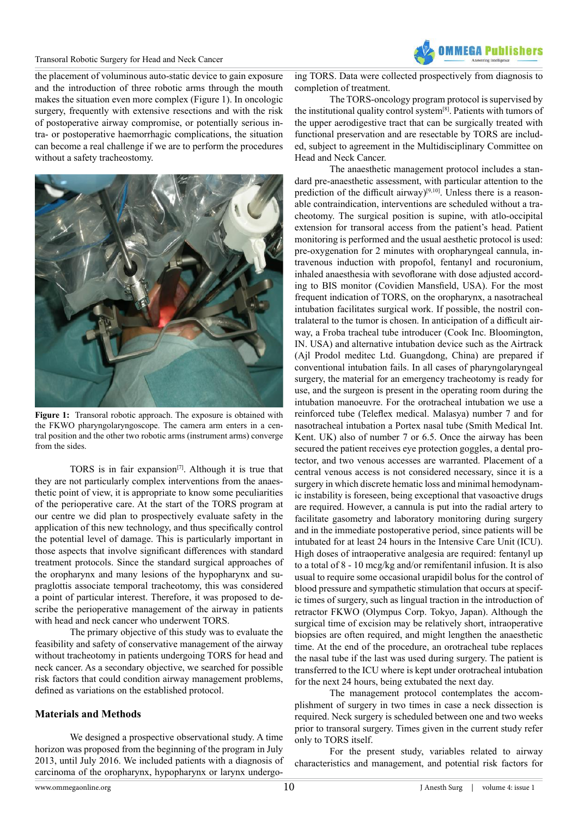

the placement of voluminous auto-static device to gain exposure and the introduction of three robotic arms through the mouth makes the situation even more complex (Figure 1). In oncologic surgery, frequently with extensive resections and with the risk of postoperative airway compromise, or potentially serious intra- or postoperative haemorrhagic complications, the situation can become a real challenge if we are to perform the procedures without a safety tracheostomy.



**Figure 1:** Transoral robotic approach. The exposure is obtained with the FKWO pharyngolaryngoscope. The camera arm enters in a central position and the other two robotic arms (instrument arms) converge from the sides.

TORS is in fair expansion<sup>[\[7\]](#page-4-5)</sup>. Although it is true that they are not particularly complex interventions from the anaesthetic point of view, it is appropriate to know some peculiarities of the perioperative care. At the start of the TORS program at our centre we did plan to prospectively evaluate safety in the application of this new technology, and thus specifically control the potential level of damage. This is particularly important in those aspects that involve significant differences with standard treatment protocols. Since the standard surgical approaches of the oropharynx and many lesions of the hypopharynx and supraglottis associate temporal tracheotomy, this was considered a point of particular interest. Therefore, it was proposed to describe the perioperative management of the airway in patients with head and neck cancer who underwent TORS.

The primary objective of this study was to evaluate the feasibility and safety of conservative management of the airway without tracheotomy in patients undergoing TORS for head and neck cancer. As a secondary objective, we searched for possible risk factors that could condition airway management problems, defined as variations on the established protocol.

#### **Materials and Methods**

We designed a prospective observational study. A time horizon was proposed from the beginning of the program in July 2013, until July 2016. We included patients with a diagnosis of carcinoma of the oropharynx, hypopharynx or larynx undergoing TORS. Data were collected prospectively from diagnosis to completion of treatment.

The TORS-oncology program protocol is supervised by the institutional quality control system[\[8\]](#page-4-6). Patients with tumors of the upper aerodigestive tract that can be surgically treated with functional preservation and are resectable by TORS are included, subject to agreement in the Multidisciplinary Committee on Head and Neck Cancer.

The anaesthetic management protocol includes a standard pre-anaesthetic assessment, with particular attention to the prediction of the difficult airway)<sup>[9,10]</sup>. Unless there is a reasonable contraindication, interventions are scheduled without a tracheotomy. The surgical position is supine, with atlo-occipital extension for transoral access from the patient's head. Patient monitoring is performed and the usual aesthetic protocol is used: pre-oxygenation for 2 minutes with oropharyngeal cannula, intravenous induction with propofol, fentanyl and rocuronium, inhaled anaesthesia with sevoflorane with dose adjusted according to BIS monitor (Covidien Mansfield, USA). For the most frequent indication of TORS, on the oropharynx, a nasotracheal intubation facilitates surgical work. If possible, the nostril contralateral to the tumor is chosen. In anticipation of a difficult airway, a Froba tracheal tube introducer (Cook Inc. Bloomington, IN. USA) and alternative intubation device such as the Airtrack (Ajl Prodol meditec Ltd. Guangdong, China) are prepared if conventional intubation fails. In all cases of pharyngolaryngeal surgery, the material for an emergency tracheotomy is ready for use, and the surgeon is present in the operating room during the intubation manoeuvre. For the orotracheal intubation we use a reinforced tube (Teleflex medical. Malasya) number 7 and for nasotracheal intubation a Portex nasal tube (Smith Medical Int. Kent. UK) also of number 7 or 6.5. Once the airway has been secured the patient receives eye protection goggles, a dental protector, and two venous accesses are warranted. Placement of a central venous access is not considered necessary, since it is a surgery in which discrete hematic loss and minimal hemodynamic instability is foreseen, being exceptional that vasoactive drugs are required. However, a cannula is put into the radial artery to facilitate gasometry and laboratory monitoring during surgery and in the immediate postoperative period, since patients will be intubated for at least 24 hours in the Intensive Care Unit (ICU). High doses of intraoperative analgesia are required: fentanyl up to a total of 8 - 10 mcg/kg and/or remifentanil infusion. It is also usual to require some occasional urapidil bolus for the control of blood pressure and sympathetic stimulation that occurs at specific times of surgery, such as lingual traction in the introduction of retractor FKWO (Olympus Corp. Tokyo, Japan). Although the surgical time of excision may be relatively short, intraoperative biopsies are often required, and might lengthen the anaesthetic time. At the end of the procedure, an orotracheal tube replaces the nasal tube if the last was used during surgery. The patient is transferred to the ICU where is kept under orotracheal intubation for the next 24 hours, being extubated the next day.

The management protocol contemplates the accomplishment of surgery in two times in case a neck dissection is required. Neck surgery is scheduled between one and two weeks prior to transoral surgery. Times given in the current study refer only to TORS itself.

For the present study, variables related to airway characteristics and management, and potential risk factors for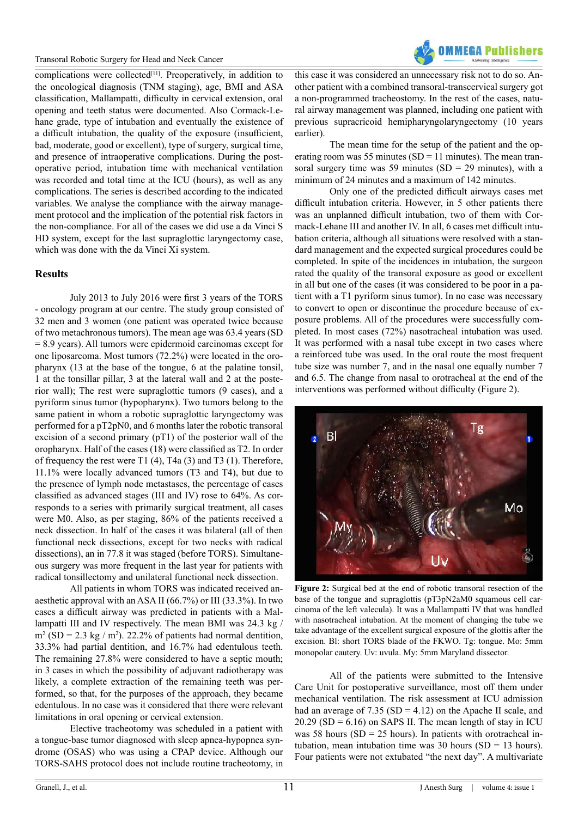

complications were collected<sup>[11]</sup>. Preoperatively, in addition to the oncological diagnosis (TNM staging), age, BMI and ASA classification, Mallampatti, difficulty in cervical extension, oral opening and teeth status were documented. Also Cormack-Lehane grade, type of intubation and eventually the existence of a difficult intubation, the quality of the exposure (insufficient, bad, moderate, good or excellent), type of surgery, surgical time, and presence of intraoperative complications. During the postoperative period, intubation time with mechanical ventilation was recorded and total time at the ICU (hours), as well as any complications. The series is described according to the indicated variables. We analyse the compliance with the airway management protocol and the implication of the potential risk factors in the non-compliance. For all of the cases we did use a da Vinci S HD system, except for the last supraglottic laryngectomy case, which was done with the da Vinci Xi system.

#### **Results**

July 2013 to July 2016 were first 3 years of the TORS - oncology program at our centre. The study group consisted of 32 men and 3 women (one patient was operated twice because of two metachronous tumors). The mean age was 63.4 years (SD = 8.9 years). All tumors were epidermoid carcinomas except for one liposarcoma. Most tumors (72.2%) were located in the oropharynx (13 at the base of the tongue, 6 at the palatine tonsil, 1 at the tonsillar pillar, 3 at the lateral wall and 2 at the posterior wall); The rest were supraglottic tumors (9 cases), and a pyriform sinus tumor (hypopharynx). Two tumors belong to the same patient in whom a robotic supraglottic laryngectomy was performed for a pT2pN0, and 6 months later the robotic transoral excision of a second primary  $(pT1)$  of the posterior wall of the oropharynx. Half of the cases (18) were classified as T2. In order of frequency the rest were T1 (4), T4a (3) and T3 (1). Therefore, 11.1% were locally advanced tumors (T3 and T4), but due to the presence of lymph node metastases, the percentage of cases classified as advanced stages (III and IV) rose to 64%. As corresponds to a series with primarily surgical treatment, all cases were M0. Also, as per staging, 86% of the patients received a neck dissection. In half of the cases it was bilateral (all of then functional neck dissections, except for two necks with radical dissections), an in 77.8 it was staged (before TORS). Simultaneous surgery was more frequent in the last year for patients with radical tonsillectomy and unilateral functional neck dissection.

All patients in whom TORS was indicated received anaesthetic approval with an ASA II (66.7%) or III (33.3%). In two cases a difficult airway was predicted in patients with a Mallampatti III and IV respectively. The mean BMI was 24.3 kg /  $m^2 (SD = 2.3 kg / m^2)$ . 22.2% of patients had normal dentition, 33.3% had partial dentition, and 16.7% had edentulous teeth. The remaining 27.8% were considered to have a septic mouth; in 3 cases in which the possibility of adjuvant radiotherapy was likely, a complete extraction of the remaining teeth was performed, so that, for the purposes of the approach, they became edentulous. In no case was it considered that there were relevant limitations in oral opening or cervical extension.

Elective tracheotomy was scheduled in a patient with a tongue-base tumor diagnosed with sleep apnea-hypopnea syndrome (OSAS) who was using a CPAP device. Although our TORS-SAHS protocol does not include routine tracheotomy, in

this case it was considered an unnecessary risk not to do so. Another patient with a combined transoral-transcervical surgery got a non-programmed tracheostomy. In the rest of the cases, natural airway management was planned, including one patient with previous supracricoid hemipharyngolaryngectomy (10 years earlier).

The mean time for the setup of the patient and the operating room was 55 minutes (SD = 11 minutes). The mean transoral surgery time was 59 minutes (SD = 29 minutes), with a minimum of 24 minutes and a maximum of 142 minutes.

Only one of the predicted difficult airways cases met difficult intubation criteria. However, in 5 other patients there was an unplanned difficult intubation, two of them with Cormack-Lehane III and another IV. In all, 6 cases met difficult intubation criteria, although all situations were resolved with a standard management and the expected surgical procedures could be completed. In spite of the incidences in intubation, the surgeon rated the quality of the transoral exposure as good or excellent in all but one of the cases (it was considered to be poor in a patient with a T1 pyriform sinus tumor). In no case was necessary to convert to open or discontinue the procedure because of exposure problems. All of the procedures were successfully completed. In most cases (72%) nasotracheal intubation was used. It was performed with a nasal tube except in two cases where a reinforced tube was used. In the oral route the most frequent tube size was number 7, and in the nasal one equally number 7 and 6.5. The change from nasal to orotracheal at the end of the interventions was performed without difficulty (Figure 2).



**Figure 2:** Surgical bed at the end of robotic transoral resection of the base of the tongue and supraglottis (pT3pN2aM0 squamous cell carcinoma of the left valecula). It was a Mallampatti IV that was handled with nasotracheal intubation. At the moment of changing the tube we take advantage of the excellent surgical exposure of the glottis after the excision. Bl: short TORS blade of the FKWO. Tg: tongue. Mo: 5mm monopolar cautery. Uv: uvula. My: 5mm Maryland dissector.

All of the patients were submitted to the Intensive Care Unit for postoperative surveillance, most off them under mechanical ventilation. The risk assessment at ICU admission had an average of  $7.35$  (SD = 4.12) on the Apache II scale, and  $20.29$  (SD = 6.16) on SAPS II. The mean length of stay in ICU was 58 hours ( $SD = 25$  hours). In patients with orotracheal intubation, mean intubation time was 30 hours (SD = 13 hours). Four patients were not extubated "the next day". A multivariate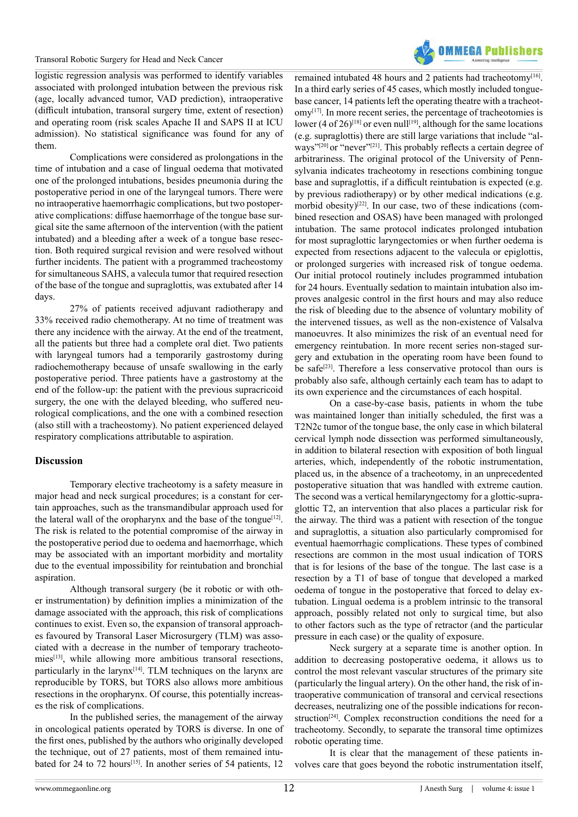

logistic regression analysis was performed to identify variables associated with prolonged intubation between the previous risk (age, locally advanced tumor, VAD prediction), intraoperative (difficult intubation, transoral surgery time, extent of resection) and operating room (risk scales Apache II and SAPS II at ICU admission). No statistical significance was found for any of them.

Complications were considered as prolongations in the time of intubation and a case of lingual oedema that motivated one of the prolonged intubations, besides pneumonia during the postoperative period in one of the laryngeal tumors. There were no intraoperative haemorrhagic complications, but two postoperative complications: diffuse haemorrhage of the tongue base surgical site the same afternoon of the intervention (with the patient intubated) and a bleeding after a week of a tongue base resection. Both required surgical revision and were resolved without further incidents. The patient with a programmed tracheostomy for simultaneous SAHS, a valecula tumor that required resection of the base of the tongue and supraglottis, was extubated after 14 days.

27% of patients received adjuvant radiotherapy and 33% received radio chemotherapy. At no time of treatment was there any incidence with the airway. At the end of the treatment, all the patients but three had a complete oral diet. Two patients with laryngeal tumors had a temporarily gastrostomy during radiochemotherapy because of unsafe swallowing in the early postoperative period. Three patients have a gastrostomy at the end of the follow-up: the patient with the previous supracricoid surgery, the one with the delayed bleeding, who suffered neurological complications, and the one with a combined resection (also still with a tracheostomy). No patient experienced delayed respiratory complications attributable to aspiration.

#### **Discussion**

Temporary elective tracheotomy is a safety measure in major head and neck surgical procedures; is a constant for certain approaches, such as the transmandibular approach used for the lateral wall of the oropharynx and the base of the tongue<sup>[\[12\]](#page-4-9)</sup>. The risk is related to the potential compromise of the airway in the postoperative period due to oedema and haemorrhage, which may be associated with an important morbidity and mortality due to the eventual impossibility for reintubation and bronchial aspiration.

Although transoral surgery (be it robotic or with other instrumentation) by definition implies a minimization of the damage associated with the approach, this risk of complications continues to exist. Even so, the expansion of transoral approaches favoured by Transoral Laser Microsurgery (TLM) was associated with a decrease in the number of temporary tracheoto-mies<sup>[\[13\]](#page-4-10)</sup>, while allowing more ambitious transoral resections, particularly in the larynx<sup>[\[14\]](#page-4-11)</sup>. TLM techniques on the larynx are reproducible by TORS, but TORS also allows more ambitious resections in the oropharynx. Of course, this potentially increases the risk of complications.

In the published series, the management of the airway in oncological patients operated by TORS is diverse. In one of the first ones, published by the authors who originally developed the technique, out of 27 patients, most of them remained intu-bated for 24 to 72 hours<sup>[\[15\]](#page-4-12)</sup>. In another series of 54 patients, 12 remained intubated 48 hours and 2 patients had tracheotomy<sup>[16]</sup>. In a third early series of 45 cases, which mostly included tonguebase cancer, 14 patients left the operating theatre with a tracheotom[y\[17\]](#page-4-14). In more recent series, the percentage of tracheotomies is lower (4 of 26)<sup>[\[18\]](#page-5-0)</sup> or even null<sup>[19]</sup>, although for the same locations (e.g. supraglottis) there are still large variations that include "al-ways"<sup>[\[20\]](#page-5-2)</sup> or "never"<sup>[\[21\]](#page-5-3)</sup>. This probably reflects a certain degree of arbitrariness. The original protocol of the University of Pennsylvania indicates tracheotomy in resections combining tongue base and supraglottis, if a difficult reintubation is expected (e.g. by previous radiotherapy) or by other medical indications (e.g. morbid obesity)<sup>[22]</sup>. In our case, two of these indications (combined resection and OSAS) have been managed with prolonged intubation. The same protocol indicates prolonged intubation for most supraglottic laryngectomies or when further oedema is expected from resections adjacent to the valecula or epiglottis, or prolonged surgeries with increased risk of tongue oedema. Our initial protocol routinely includes programmed intubation for 24 hours. Eventually sedation to maintain intubation also improves analgesic control in the first hours and may also reduce the risk of bleeding due to the absence of voluntary mobility of the intervened tissues, as well as the non-existence of Valsalva manoeuvres. It also minimizes the risk of an eventual need for emergency reintubation. In more recent series non-staged surgery and extubation in the operating room have been found to be safe<sup>[23]</sup>. Therefore a less conservative protocol than ours is probably also safe, although certainly each team has to adapt to its own experience and the circumstances of each hospital.

On a case-by-case basis, patients in whom the tube was maintained longer than initially scheduled, the first was a T2N2c tumor of the tongue base, the only case in which bilateral cervical lymph node dissection was performed simultaneously, in addition to bilateral resection with exposition of both lingual arteries, which, independently of the robotic instrumentation, placed us, in the absence of a tracheotomy, in an unprecedented postoperative situation that was handled with extreme caution. The second was a vertical hemilaryngectomy for a glottic-supraglottic T2, an intervention that also places a particular risk for the airway. The third was a patient with resection of the tongue and supraglottis, a situation also particularly compromised for eventual haemorrhagic complications. These types of combined resections are common in the most usual indication of TORS that is for lesions of the base of the tongue. The last case is a resection by a T1 of base of tongue that developed a marked oedema of tongue in the postoperative that forced to delay extubation. Lingual oedema is a problem intrinsic to the transoral approach, possibly related not only to surgical time, but also to other factors such as the type of retractor (and the particular pressure in each case) or the quality of exposure.

Neck surgery at a separate time is another option. In addition to decreasing postoperative oedema, it allows us to control the most relevant vascular structures of the primary site (particularly the lingual artery). On the other hand, the risk of intraoperative communication of transoral and cervical resections decreases, neutralizing one of the possible indications for recon-struction<sup>[\[24\]](#page-5-6)</sup>. Complex reconstruction conditions the need for a tracheotomy. Secondly, to separate the transoral time optimizes robotic operating time.

It is clear that the management of these patients involves care that goes beyond the robotic instrumentation itself,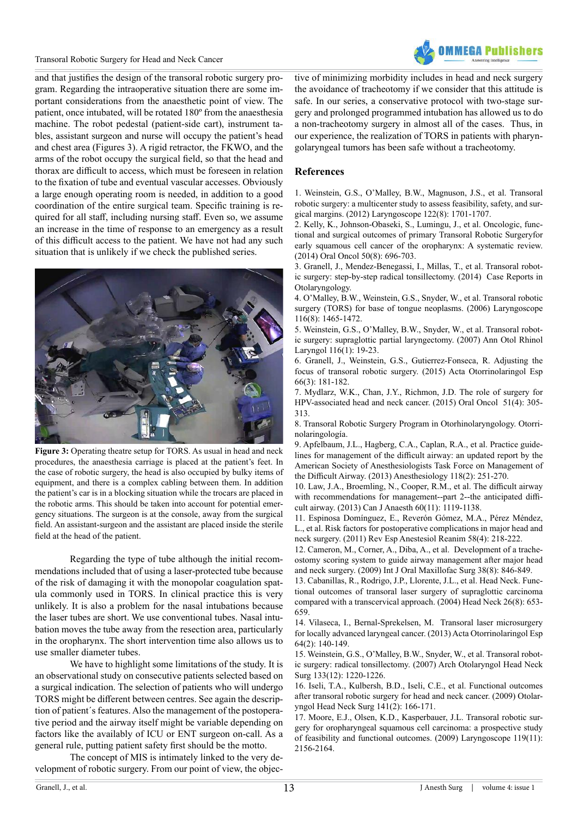

and that justifies the design of the transoral robotic surgery program. Regarding the intraoperative situation there are some important considerations from the anaesthetic point of view. The patient, once intubated, will be rotated 180º from the anaesthesia machine. The robot pedestal (patient-side cart), instrument tables, assistant surgeon and nurse will occupy the patient's head and chest area (Figures 3). A rigid retractor, the FKWO, and the arms of the robot occupy the surgical field, so that the head and thorax are difficult to access, which must be foreseen in relation to the fixation of tube and eventual vascular accesses. Obviously a large enough operating room is needed, in addition to a good coordination of the entire surgical team. Specific training is required for all staff, including nursing staff. Even so, we assume an increase in the time of response to an emergency as a result of this difficult access to the patient. We have not had any such situation that is unlikely if we check the published series.



**Figure 3:** Operating theatre setup for TORS. As usual in head and neck procedures, the anaesthesia carriage is placed at the patient's feet. In the case of robotic surgery, the head is also occupied by bulky items of equipment, and there is a complex cabling between them. In addition the patient's car is in a blocking situation while the trocars are placed in the robotic arms. This should be taken into account for potential emergency situations. The surgeon is at the console, away from the surgical field. An assistant-surgeon and the assistant are placed inside the sterile field at the head of the patient.

Regarding the type of tube although the initial recommendations included that of using a laser-protected tube because of the risk of damaging it with the monopolar coagulation spatula commonly used in TORS. In clinical practice this is very unlikely. It is also a problem for the nasal intubations because the laser tubes are short. We use conventional tubes. Nasal intubation moves the tube away from the resection area, particularly in the oropharynx. The short intervention time also allows us to use smaller diameter tubes.

We have to highlight some limitations of the study. It is an observational study on consecutive patients selected based on a surgical indication. The selection of patients who will undergo TORS might be different between centres. See again the description of patient´s features. Also the management of the postoperative period and the airway itself might be variable depending on factors like the availably of ICU or ENT surgeon on-call. As a general rule, putting patient safety first should be the motto.

The concept of MIS is intimately linked to the very development of robotic surgery. From our point of view, the objective of minimizing morbidity includes in head and neck surgery the avoidance of tracheotomy if we consider that this attitude is safe. In our series, a conservative protocol with two-stage surgery and prolonged programmed intubation has allowed us to do a non-tracheotomy surgery in almost all of the cases. Thus, in our experience, the realization of TORS in patients with pharyngolaryngeal tumors has been safe without a tracheotomy.

#### **References**

<span id="page-4-0"></span>1. [Weinstein, G.S., O'Malley, B.W., Magnuson, J.S., et al. Transoral](https://www.ncbi.nlm.nih.gov/pubmed/22752997) [robotic surgery: a multicenter study to assess feasibility, safety, and sur](https://www.ncbi.nlm.nih.gov/pubmed/22752997)[gical margins. \(2012\) Laryngoscope 122\(8\): 1701-1707.](https://www.ncbi.nlm.nih.gov/pubmed/22752997)

<span id="page-4-1"></span>2. [Kelly, K., Johnson-Obaseki, S., Lumingu, J., et al. Oncologic, func](https://www.ncbi.nlm.nih.gov/pubmed/24917389)[tional and surgical outcomes of primary Transoral Robotic Surgeryfor](https://www.ncbi.nlm.nih.gov/pubmed/24917389) [early squamous cell cancer of the oropharynx: A systematic review.](https://www.ncbi.nlm.nih.gov/pubmed/24917389) [\(2014\) Oral Oncol 50\(8\): 696-703.](https://www.ncbi.nlm.nih.gov/pubmed/24917389)

<span id="page-4-2"></span>3. [Granell, J., Mendez-Benegassi, I., Millas, T., et al. Transoral robot](https://www.hindawi.com/journals/criot/2014/497528/)[ic surgery: step-by-step radical tonsillectomy. \(2014\) Case Reports in](https://www.hindawi.com/journals/criot/2014/497528/) [Otolaryngology.](https://www.hindawi.com/journals/criot/2014/497528/)

4. [O'Malley, B.W., Weinstein, G.S., Snyder, W., et al. Transoral robotic](https://www.ncbi.nlm.nih.gov/pubmed/16885755) [surgery \(TORS\) for base of tongue neoplasms. \(2006\) Laryngoscope](https://www.ncbi.nlm.nih.gov/pubmed/16885755) [116\(8\): 1465-1472.](https://www.ncbi.nlm.nih.gov/pubmed/16885755)

<span id="page-4-3"></span>5. [Weinstein, G.S., O'Malley, B.W., Snyder, W., et al. Transoral robot](https://www.ncbi.nlm.nih.gov/pubmed/17305273)[ic surgery: supraglottic partial laryngectomy. \(2007\) Ann Otol Rhinol](https://www.ncbi.nlm.nih.gov/pubmed/17305273) [Laryngol 116\(1\): 19-23.](https://www.ncbi.nlm.nih.gov/pubmed/17305273)

<span id="page-4-4"></span>6. [Granell, J., Weinstein, G.S., Gutierrez-Fonseca, R. Adjusting the](https://www.ncbi.nlm.nih.gov/pubmed/25459411) [focus of transoral robotic surgery. \(2015\) Acta Otorrinolaringol Esp](https://www.ncbi.nlm.nih.gov/pubmed/25459411) [66\(3\): 181-182.](https://www.ncbi.nlm.nih.gov/pubmed/25459411)

<span id="page-4-5"></span>7. [Mydlarz, W.K., Chan, J.Y., Richmon, J.D. The role of surgery for](https://www.ncbi.nlm.nih.gov/pubmed/25456011) [HPV-associated head and neck cancer. \(2015\) Oral Oncol 51\(4\): 305-](https://www.ncbi.nlm.nih.gov/pubmed/25456011) [313.](https://www.ncbi.nlm.nih.gov/pubmed/25456011) 

<span id="page-4-6"></span>8. [Transoral Robotic Surgery Program in Otorhinolaryngology. Otorri](http://www.hospitalreyjuancarlos.es/es/cartera-servicios/servicios-quirurgicos/otorrinolaringologia/cirugia-robotica-transoral)[nolaringología.](http://www.hospitalreyjuancarlos.es/es/cartera-servicios/servicios-quirurgicos/otorrinolaringologia/cirugia-robotica-transoral)

<span id="page-4-7"></span>9. [Apfelbaum, J.L., Hagberg, C.A., Caplan, R.A., et al. Practice guide](https://www.ncbi.nlm.nih.gov/pubmed/23364566)[lines for management of the difficult airway: an updated report by the](https://www.ncbi.nlm.nih.gov/pubmed/23364566) [American Society of Anesthesiologists Task Force on Management of](https://www.ncbi.nlm.nih.gov/pubmed/23364566) [the Difficult Airway. \(2013\) Anesthesiology 118\(2\): 251-270.](https://www.ncbi.nlm.nih.gov/pubmed/23364566)

10. [Law, J.A., Broemling, N., Cooper, R.M., et al. The difficult airway](https://www.ncbi.nlm.nih.gov/pubmed/24132408) [with recommendations for management--part 2--the anticipated diffi](https://www.ncbi.nlm.nih.gov/pubmed/24132408)[cult airway. \(2013\) Can J Anaesth 60\(11\): 1119-1138.](https://www.ncbi.nlm.nih.gov/pubmed/24132408) 

<span id="page-4-8"></span>11. [Espinosa Domínguez, E., Reverón Gómez, M.A., Pérez Méndez,](https://www.ncbi.nlm.nih.gov/pubmed/21608277) [L., et al. Risk factors for postoperative complications in major head and](https://www.ncbi.nlm.nih.gov/pubmed/21608277) [neck surgery. \(2011\) Rev Esp Anestesiol Reanim 58\(4\): 218-222.](https://www.ncbi.nlm.nih.gov/pubmed/21608277)

<span id="page-4-9"></span>12. [Cameron, M., Corner, A., Diba, A., et al. Development of a trache](https://www.ncbi.nlm.nih.gov/pubmed/19423295)[ostomy scoring system to guide airway management after major head](https://www.ncbi.nlm.nih.gov/pubmed/19423295) [and neck surgery. \(2009\) Int J Oral Maxillofac Surg 38\(8\): 846-849.](https://www.ncbi.nlm.nih.gov/pubmed/19423295)

<span id="page-4-10"></span>13. [Cabanillas, R., Rodrigo, J.P., Llorente, J.L., et al. Head Neck. Func](https://www.ncbi.nlm.nih.gov/pubmed/15287032)[tional outcomes of transoral laser surgery of supraglottic carcinoma](https://www.ncbi.nlm.nih.gov/pubmed/15287032) [compared with a transcervical approach. \(2004\) Head Neck 26\(8\): 653-](https://www.ncbi.nlm.nih.gov/pubmed/15287032) [659.](https://www.ncbi.nlm.nih.gov/pubmed/15287032)

<span id="page-4-11"></span>14. [Vilaseca, I., Bernal-Sprekelsen, M. Transoral laser microsurgery](https://www.ncbi.nlm.nih.gov/pubmed/22503567) [for locally advanced laryngeal cancer. \(2013\) Acta Otorrinolaringol Esp](https://www.ncbi.nlm.nih.gov/pubmed/22503567) [64\(2\): 140-149.](https://www.ncbi.nlm.nih.gov/pubmed/22503567) 

<span id="page-4-12"></span>15. [Weinstein, G.S., O'Malley, B.W., Snyder, W., et al. Transoral robot](https://www.ncbi.nlm.nih.gov/pubmed/18086963)[ic surgery: radical tonsillectomy. \(2007\) Arch Otolaryngol Head Neck](https://www.ncbi.nlm.nih.gov/pubmed/18086963) [Surg 133\(12\): 1220-1226.](https://www.ncbi.nlm.nih.gov/pubmed/18086963)

<span id="page-4-13"></span>16. [Iseli, T.A., Kulbersh, B.D., Iseli, C.E., et al. Functional outcomes](https://www.ncbi.nlm.nih.gov/pubmed/19643246) [after transoral robotic surgery for head and neck cancer. \(2009\) Otolar](https://www.ncbi.nlm.nih.gov/pubmed/19643246)[yngol Head Neck Surg 141\(2\): 166-171.](https://www.ncbi.nlm.nih.gov/pubmed/19643246)

<span id="page-4-14"></span>17. [Moore, E.J., Olsen, K.D., Kasperbauer, J.L. Transoral robotic sur](https://www.ncbi.nlm.nih.gov/pubmed/19824067)[gery for oropharyngeal squamous cell carcinoma: a prospective study](https://www.ncbi.nlm.nih.gov/pubmed/19824067) [of feasibility and functional outcomes. \(2009\) Laryngoscope 119\(11\):](https://www.ncbi.nlm.nih.gov/pubmed/19824067) [2156-2164.](https://www.ncbi.nlm.nih.gov/pubmed/19824067)